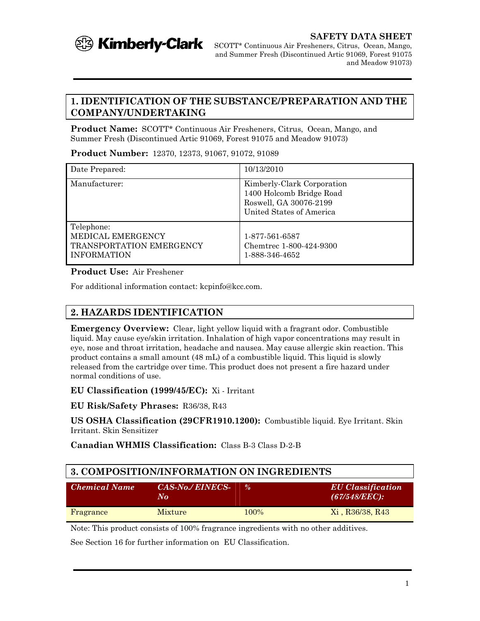

## **1. IDENTIFICATION OF THE SUBSTANCE/PREPARATION AND THE COMPANY/UNDERTAKING**

**Product Name:** SCOTT\* Continuous Air Fresheners, Citrus, Ocean, Mango, and Summer Fresh (Discontinued Artic 91069, Forest 91075 and Meadow 91073)

**Product Number:** 12370, 12373, 91067, 91072, 91089

| Date Prepared:                                                                    | 10/13/2010                                                                                                   |
|-----------------------------------------------------------------------------------|--------------------------------------------------------------------------------------------------------------|
| Manufacturer:                                                                     | Kimberly-Clark Corporation<br>1400 Holcomb Bridge Road<br>Roswell, GA 30076-2199<br>United States of America |
| Telephone:<br>MEDICAL EMERGENCY<br>TRANSPORTATION EMERGENCY<br><b>INFORMATION</b> | 1-877-561-6587<br>Chemtrec 1-800-424-9300<br>1-888-346-4652                                                  |

#### **Product Use:** Air Freshener

For additional information contact: kcpinfo@kcc.com.

# **2. HAZARDS IDENTIFICATION**

**Emergency Overview:** Clear, light yellow liquid with a fragrant odor. Combustible liquid. May cause eye/skin irritation. Inhalation of high vapor concentrations may result in eye, nose and throat irritation, headache and nausea. May cause allergic skin reaction. This product contains a small amount (48 mL) of a combustible liquid. This liquid is slowly released from the cartridge over time. This product does not present a fire hazard under normal conditions of use.

#### **EU Classification (1999/45/EC):** Xi - Irritant

**EU Risk/Safety Phrases:** R36/38, R43

**US OSHA Classification (29CFR1910.1200):** Combustible liquid. Eye Irritant. Skin Irritant. Skin Sensitizer

**Canadian WHMIS Classification:** Class B-3 Class D-2-B

| 3. COMPOSITION/INFORMATION ON INGREDIENTS |                                                |               |                                              |  |
|-------------------------------------------|------------------------------------------------|---------------|----------------------------------------------|--|
| Chemical Name                             | <b>CAS-No./EINECS-</b><br>$N_{\boldsymbol{0}}$ | $\frac{0}{a}$ | <b>EU</b> Classification<br>$(67/548/EEC)$ : |  |
| Fragrance                                 | <b>Mixture</b>                                 | 100\%         | Xi, R36/38, R43                              |  |

Note: This product consists of 100% fragrance ingredients with no other additives.

See Section 16 for further information on EU Classification.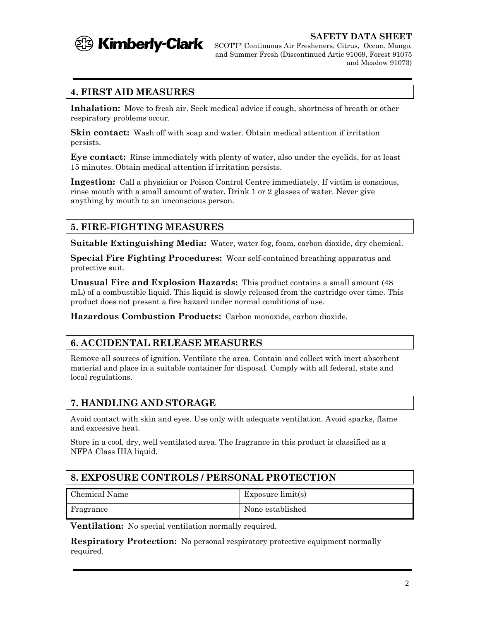

**SAFETY DATA SHEET**

SCOTT\* Continuous Air Fresheners, Citrus, Ocean, Mango, and Summer Fresh (Discontinued Artic 91069, Forest 91075 and Meadow 91073)

# **4. FIRST AID MEASURES**

**Inhalation:** Move to fresh air. Seek medical advice if cough, shortness of breath or other respiratory problems occur.

**Skin contact:** Wash off with soap and water. Obtain medical attention if irritation persists.

**Eye contact:** Rinse immediately with plenty of water, also under the eyelids, for at least 15 minutes. Obtain medical attention if irritation persists.

**Ingestion:** Call a physician or Poison Control Centre immediately. If victim is conscious, rinse mouth with a small amount of water. Drink 1 or 2 glasses of water. Never give anything by mouth to an unconscious person.

# **5. FIRE-FIGHTING MEASURES**

**Suitable Extinguishing Media:** Water, water fog, foam, carbon dioxide, dry chemical.

**Special Fire Fighting Procedures:** Wear self-contained breathing apparatus and protective suit.

**Unusual Fire and Explosion Hazards:** This product contains a small amount (48 mL) of a combustible liquid. This liquid is slowly released from the cartridge over time. This product does not present a fire hazard under normal conditions of use.

**Hazardous Combustion Products:** Carbon monoxide, carbon dioxide.

## **6. ACCIDENTAL RELEASE MEASURES**

Remove all sources of ignition. Ventilate the area. Contain and collect with inert absorbent material and place in a suitable container for disposal. Comply with all federal, state and local regulations.

# **7. HANDLING AND STORAGE**

Avoid contact with skin and eyes. Use only with adequate ventilation. Avoid sparks, flame and excessive heat.

Store in a cool, dry, well ventilated area. The fragrance in this product is classified as a NFPA Class IIIA liquid.

# **8. EXPOSURE CONTROLS / PERSONAL PROTECTION**

| Chemical Name | Exposure limit(s) |
|---------------|-------------------|
| Fragrance     | None established  |

**Ventilation:** No special ventilation normally required.

**Respiratory Protection:** No personal respiratory protective equipment normally required.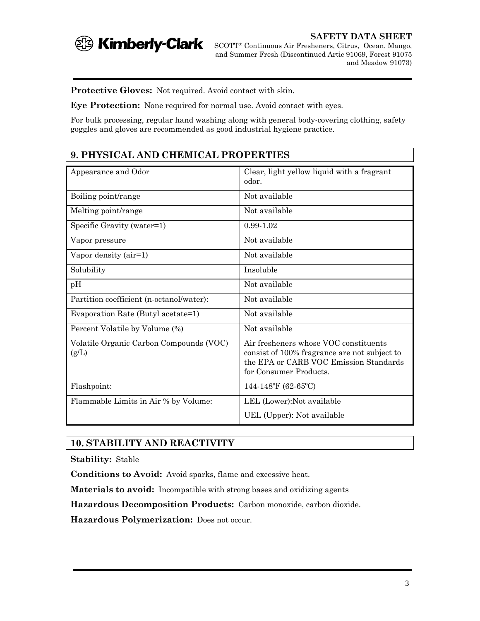

**SAFETY DATA SHEET** SCOTT\* Continuous Air Fresheners, Citrus, Ocean, Mango, and Summer Fresh (Discontinued Artic 91069, Forest 91075 and Meadow 91073)

**Protective Gloves:** Not required. Avoid contact with skin.

**Eye Protection:** None required for normal use. Avoid contact with eyes.

For bulk processing, regular hand washing along with general body-covering clothing, safety goggles and gloves are recommended as good industrial hygiene practice.

# **9. PHYSICAL AND CHEMICAL PROPERTIES**

| Appearance and Odor                              | Clear, light yellow liquid with a fragrant<br>odor.                                                                                                       |
|--------------------------------------------------|-----------------------------------------------------------------------------------------------------------------------------------------------------------|
| Boiling point/range                              | Not available                                                                                                                                             |
| Melting point/range                              | Not available                                                                                                                                             |
| Specific Gravity (water=1)                       | $0.99 - 1.02$                                                                                                                                             |
| Vapor pressure                                   | Not available                                                                                                                                             |
| Vapor density $(air=1)$                          | Not available                                                                                                                                             |
| Solubility                                       | Insoluble                                                                                                                                                 |
| pH                                               | Not available                                                                                                                                             |
| Partition coefficient (n-octanol/water):         | Not available                                                                                                                                             |
| Evaporation Rate (Butyl acetate=1)               | Not available                                                                                                                                             |
| Percent Volatile by Volume (%)                   | Not available                                                                                                                                             |
| Volatile Organic Carbon Compounds (VOC)<br>(g/L) | Air fresheners whose VOC constituents<br>consist of 100% fragrance are not subject to<br>the EPA or CARB VOC Emission Standards<br>for Consumer Products. |
| Flashpoint:                                      | $144-148$ °F (62-65°C)                                                                                                                                    |
| Flammable Limits in Air % by Volume:             | LEL (Lower): Not available                                                                                                                                |
|                                                  | UEL (Upper): Not available                                                                                                                                |

## **10. STABILITY AND REACTIVITY**

**Stability:** Stable

**Conditions to Avoid:** Avoid sparks, flame and excessive heat.

**Materials to avoid:** Incompatible with strong bases and oxidizing agents

**Hazardous Decomposition Products:** Carbon monoxide, carbon dioxide.

**Hazardous Polymerization:** Does not occur.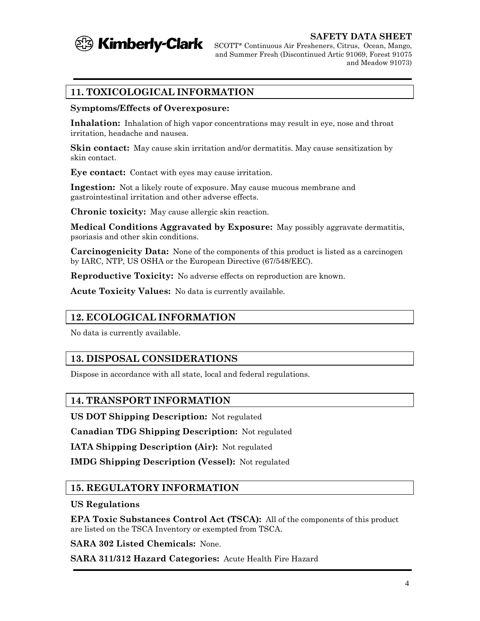

**SAFETY DATA SHEET**

SCOTT\* Continuous Air Fresheners, Citrus, Ocean, Mango, and Summer Fresh (Discontinued Artic 91069, Forest 91075 and Meadow 91073)

# **11. TOXICOLOGICAL INFORMATION**

#### **Symptoms/Effects of Overexposure:**

**Inhalation:** Inhalation of high vapor concentrations may result in eye, nose and throat irritation, headache and nausea.

**Skin contact:** May cause skin irritation and/or dermatitis. May cause sensitization by skin contact.

**Eye contact:** Contact with eyes may cause irritation.

**Ingestion:** Not a likely route of exposure. May cause mucous membrane and gastrointestinal irritation and other adverse effects.

**Chronic toxicity:** May cause allergic skin reaction.

**Medical Conditions Aggravated by Exposure:** May possibly aggravate dermatitis, psoriasis and other skin conditions.

**Carcinogenicity Data:** None of the components of this product is listed as a carcinogen by IARC, NTP, US OSHA or the European Directive (67/548/EEC).

**Reproductive Toxicity:** No adverse effects on reproduction are known.

**Acute Toxicity Values:** No data is currently available.

## **12. ECOLOGICAL INFORMATION**

No data is currently available.

### **13. DISPOSAL CONSIDERATIONS**

Dispose in accordance with all state, local and federal regulations.

### **14. TRANSPORT INFORMATION**

**US DOT Shipping Description:** Not regulated

**Canadian TDG Shipping Description:** Not regulated

**IATA Shipping Description (Air):** Not regulated

**IMDG Shipping Description (Vessel):** Not regulated

### **15. REGULATORY INFORMATION**

#### **US Regulations**

**EPA Toxic Substances Control Act (TSCA):** All of the components of this product are listed on the TSCA Inventory or exempted from TSCA.

**SARA 302 Listed Chemicals:** None.

**SARA 311/312 Hazard Categories:** Acute Health Fire Hazard